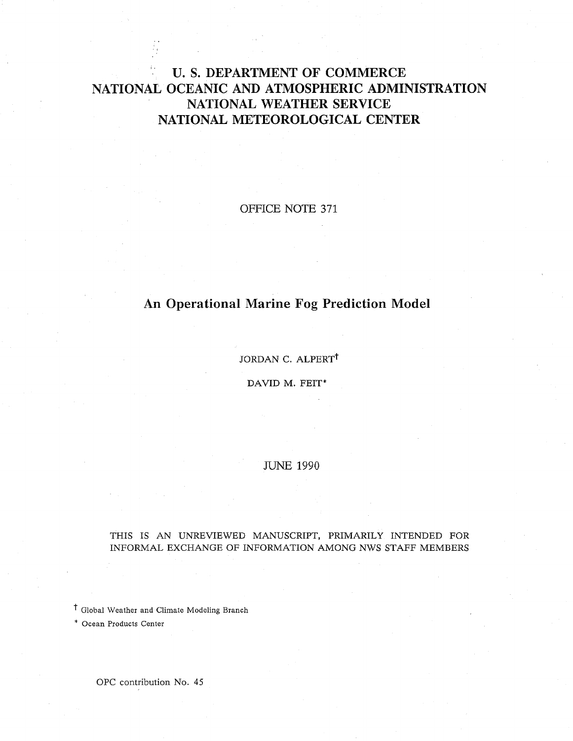# U. S. DEPARTMENT OF COMMERCE NATIONAL OCEANIC AND ATMOSPHERIC ADMINISTRATION **NATIONAL WEATHER SERVICE NATIONAL METEOROLOGICAL CENTER**

OFFICE NOTE 371

# **An Operational Marine Fog Prediction Model**

JORDAN C. ALPERT<sup>†</sup>

DAVID M. FEIT\*

JUNE 1990

#### THIS IS AN UNREVIEWED MANUSCRIPT, PRIMARILY INTENDED FOR INFORMAL EXCHANGE OF INFORMATION AMONG NWS STAFF MEMBERS

t Global Weather and Climate Modeling Branch

\* Ocean Products Center

OPC contribution No. 45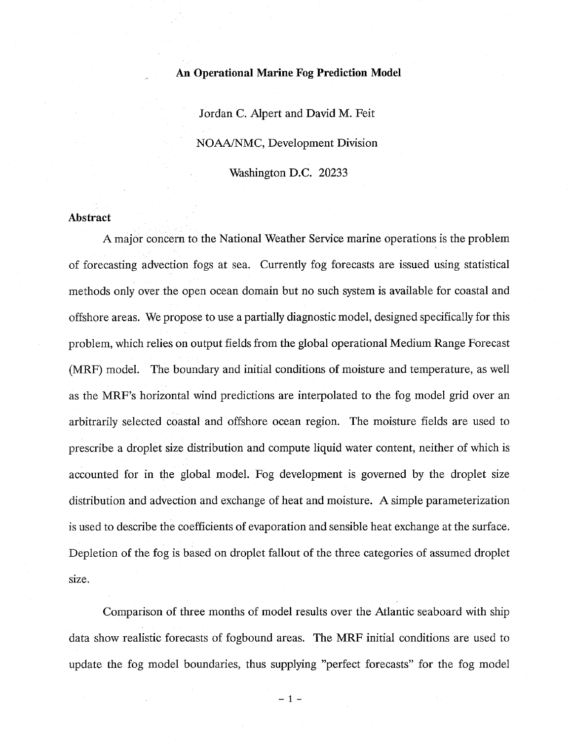### **An Operational Marine Fog Prediction Model**

Jordan C. Alpert and David M. Feit NOAA/NMC, Development Division Washington D.C. 20233

### **Abstract**

A major concern to the National Weather Service marine operations is the problem of forecasting advection fogs at sea. Currently fog forecasts are issued using statistical methods only over the open ocean domain but no such system is available for coastal and offshore areas. We propose to use a partially diagnostic model, designed specifically for this problem, which relies on output fields from the global operational Medium Range Forecast (MRF) model. The boundary and initial conditions of moisture and temperature, as well as the MRF's horizontal wind predictions are interpolated to the fog model grid over an arbitrarily selected coastal and offshore ocean region. The moisture fields are used to prescribe a droplet size distribution and compute liquid water content, neither of which is accounted for in the global model. Fog development is governed by the droplet size distribution and advection and exchange of heat and moisture. A simple parameterization is used to describe the coefficients of evaporation and sensible heat exchange at the surface. Depletion of the fog is based on droplet fallout of the three categories of assumed droplet size.

Comparison of three months of model results over the Atlantic seaboard with ship data show realistic forecasts of fogbound areas. The MRF initial conditions are used to update the fog model boundaries, thus supplying "perfect forecasts" for the fog model

 $-1 -$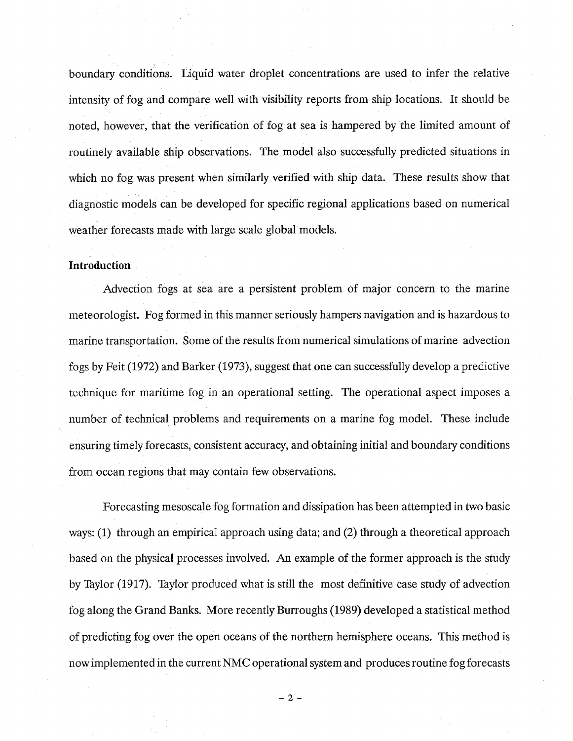boundary conditions. Liquid water droplet concentrations are used to infer the relative intensity of fog and compare well with visibility reports from ship locations. It should be noted, however, that the verification of fog at sea is hampered by the limited amount of routinely available ship observations. The model also successfully predicted situations in which no fog was present when similarly verified with ship data. These results show that diagnostic models can be developed for specific regional applications based on numerical weather forecasts made with large scale global models.

### **Introduction**

Advection fogs at sea are a persistent problem of major concern to the marine meteorologist. Fog formed in this manner seriously hampers navigation and is hazardous to marine transportation. Some of the results from numerical simulations of marine advection fogs by Feit (1972) and Barker (1973), suggest that one can successfully develop a predictive technique for maritime fog in an operational setting. The operational aspect imposes a number of technical problems and requirements on a marine fog model. These include ensuring timely forecasts, consistent accuracy, and obtaining initial and boundary conditions from ocean regions that may contain few observations.

Forecasting mesoscale fog formation and dissipation has been attempted in two basic ways: (1) through an empirical approach using data; and (2) through a theoretical approach based on the physical processes involved. An example of the former approach is the study by Taylor (1917). Taylor produced what is still the most definitive case study of advection fog along the Grand Banks. More recently Burroughs (1989) developed a statistical method of predicting fog over the open oceans of the northern hemisphere oceans. This method is nowimplemented in the current NMC operational system and produces routine fog forecasts

 $-2 -$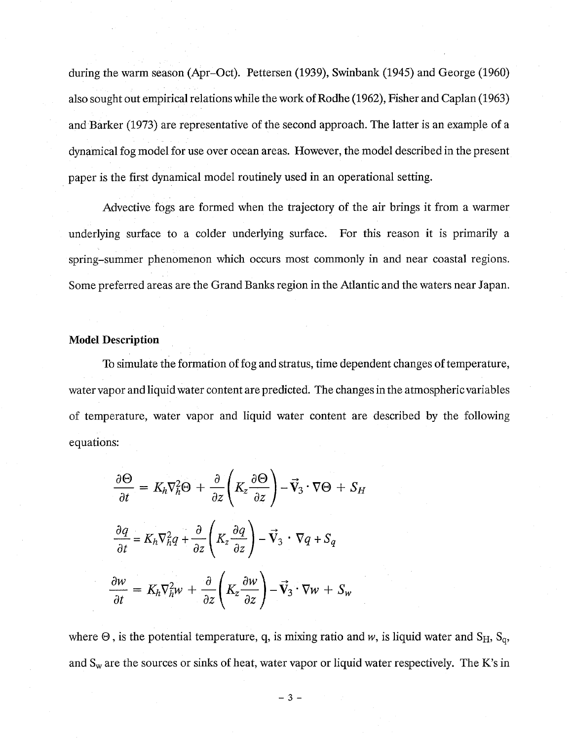during the warm season (Apr-Oct). Pettersen (1939), Swinbank (1945) and George (1960) also sought out empirical relations while the work of Rodhe (1962), Fisher and Caplan (1963) and Barker (1973) are representative of the second approach. The latter is an example of a dynamical fog model for use over ocean areas. However, the model described in the present paper is the first dynamical model routinely used in an operational setting.

Advective fogs are formed when the trajectory of the air brings it from a warmer underlying surface to a colder underlying surface. For this reason it is primarily a spring-summer phenomenon which occurs most commonly in and near coastal regions. Some preferred areas are the Grand Banks region in the Atlantic and the waters near Japan.

# **Model Description**

To simulate the formation of fog and stratus, time dependent changes of temperature, water vapor and liquid water content are predicted. The changes in the atmospheric variables of temperature, water vapor and liquid water content are described by the following equations:

$$
\frac{\partial \Theta}{\partial t} = K_h \nabla_h^2 \Theta + \frac{\partial}{\partial z} \left( K_z \frac{\partial \Theta}{\partial z} \right) - \vec{V}_3 \cdot \nabla \Theta + S_H
$$

$$
\frac{\partial q}{\partial t} = K_h \nabla_h^2 q + \frac{\partial}{\partial z} \left( K_z \frac{\partial q}{\partial z} \right) - \vec{V}_3 \cdot \nabla q + S_q
$$

$$
\frac{\partial w}{\partial t} = K_h \nabla_h^2 w + \frac{\partial}{\partial z} \left( K_z \frac{\partial w}{\partial z} \right) - \vec{V}_3 \cdot \nabla w + S_w
$$

where  $\Theta$ , is the potential temperature, q, is mixing ratio and w, is liquid water and S<sub>H</sub>, S<sub>q</sub>, and  $S_w$  are the sources or sinks of heat, water vapor or liquid water respectively. The K's in

 $-3 -$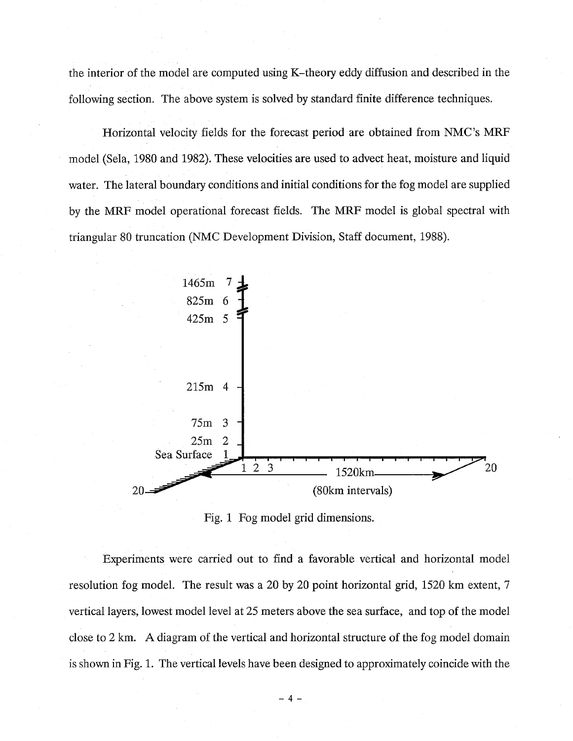the interior of the model are computed using K-theory eddy diffusion and described in the following section. The above system is solved by standard finite difference techniques.

Horizontal velocity fields for the forecast period are obtained from NMC's MRF model (Sela, 1980 and 1982). These velocities are used to advect heat, moisture and liquid water. The lateral boundary conditions and initial conditions for the fog model are supplied by the MRF model operational forecast fields. The MRF model is global spectral with triangular 80 truncation (NMC Development Division, Staff document, 1988).



Fig. 1 Fog model grid dimensions.

Experiments were carried out to find a favorable vertical and horizontal model resolution fog model. The result was a 20 by 20 point horizontal grid, 1520 km extent, 7 vertical layers, lowest model level at 25 meters above the sea surface, and top of the model close to 2 km. A diagram of the vertical and horizontal structure of the fog model domain is shown in Fig. 1. The vertical levels have been designed to approximately coincide with the

 $-4 -$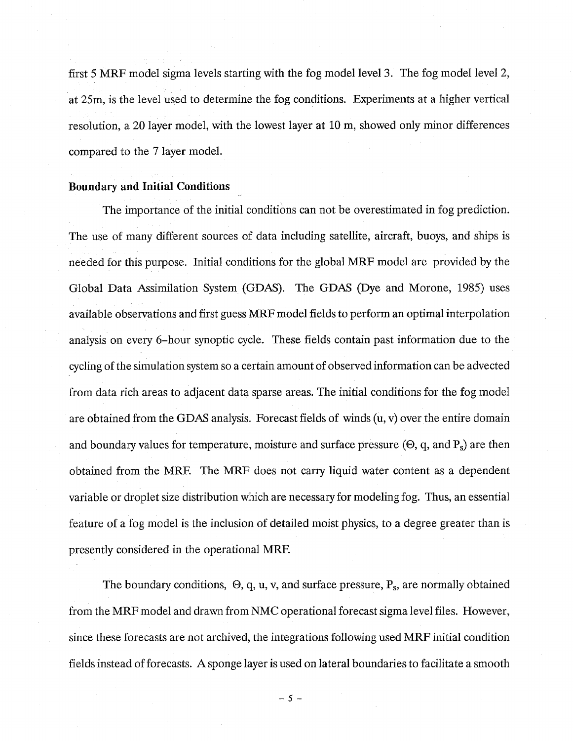first 5 MRF model sigma levels starting with the fog model level 3. The fog model level 2, at 25m, is the level used to determine the fog conditions. Experiments at a higher vertical resolution, a 20 layer model, with the lowest layer at 10 m, showed only minor differences compared to the 7 layer model.

# **Boundary and Initial Conditions**

The importance of the initial conditions can not be overestimated in fog prediction. The use of many different sources of data including satellite, aircraft, buoys, and ships is needed for this purpose. Initial conditions for the global MRF model are provided by the Global Data Assimilation System (GDAS). The GDAS (Dye and Morone, 1985) uses available observations and first guess MRF model fields to perform an optimal interpolation analysis on every 6-hour synoptic cycle. These fields contain past information due to the cycling of the simulation system so a certain amount of observed information can be advected from data rich areas to adjacent data sparse areas. The initial conditions for the fog model are obtained from the GDAS analysis. Forecast fields of winds  $(u, v)$  over the entire domain and boundary values for temperature, moisture and surface pressure  $(\Theta, q, \text{ and } P_s)$  are then obtained from the MRE The MRF does not carry liquid water content as a dependent variable or droplet size distribution which are necessary for modeling fog. Thus, an essential feature of a fog model is the inclusion of detailed moist physics, to a degree greater than is presently considered in the operational MRF.

The boundary conditions,  $\Theta$ , q, u, v, and surface pressure,  $P_s$ , are normally obtained from the MRF model and drawn from NMC operational forecast sigma level files. However, since these forecasts are not archived, the integrations following used MRF initial condition fields instead of forecasts. A sponge layer is used on lateral boundaries to facilitate a smooth

*- 5 -*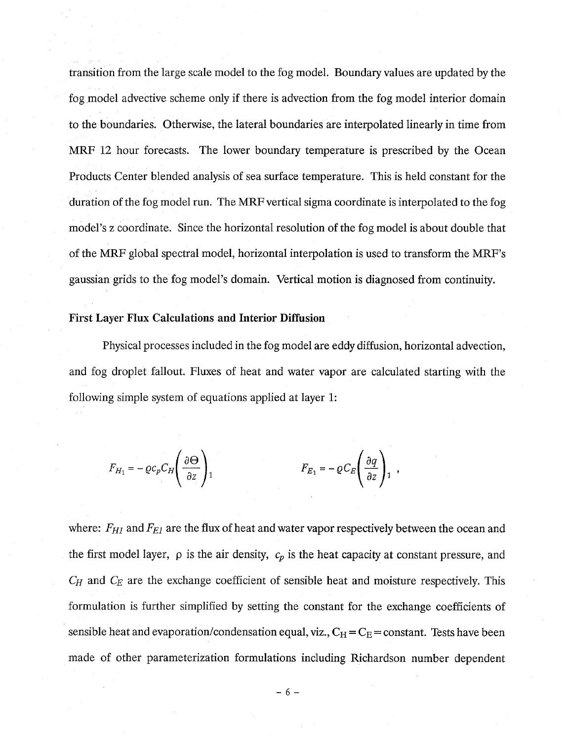transition from the large scale model to the fog model. Boundary values are updated by the fog model advective scheme only if there is advection from the fog model interior domain to the boundaries. Otherwise, the lateral boundaries are interpolated linearly in time from MRF 12 hour forecasts. The lower boundary temperature is prescribed by the Ocean Products Center blended analysis of sea surface temperature. This is held constant for the duration of the fog model run. The MRF vertical sigma coordinate is interpolated to the fog model's z coordinate. Since the horizontal resolution of the fog model is about double that of the MRF global spectral model, horizontal interpolation is used to transform the MRF's gaussian grids to the fog model's domain. Vertical motion is diagnosed from continuity.

# **First Layer Flux Calculations and Interior Diffusion**

Physical processes included in the fog model are eddy diffusion, horizontal advection, and fog droplet fallout. Fluxes of heat and water vapor are calculated starting with the following simple system of equations applied at layer 1:

$$
F_{H_1} = -\varrho c_p C_H \left(\frac{\partial \Theta}{\partial z}\right)_1 \qquad F_{E_1} = -\varrho C_E \left(\frac{\partial q}{\partial z}\right)_1 ,
$$

where: *F<sub>HI</sub>* and *F<sub>EI</sub>* are the flux of heat and water vapor respectively between the ocean and the first model layer,  $\rho$  is the air density,  $c_p$  is the heat capacity at constant pressure, and *CH* and *CE* are the exchange coefficient of sensible heat and moisture respectively. This formulation is further simplified by setting the constant for the exchange coefficients of sensible heat and evaporation/condensation equal, viz.,  $C_H = C_E = constant$ . Tests have been made of other parameterization formulations including Richardson number dependent

 $-6-$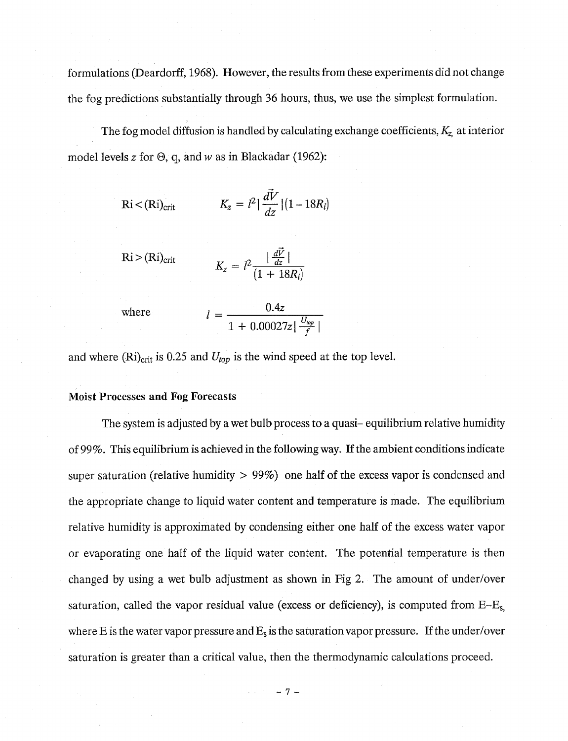formulations (Deardorff, 1968). However, the results from these experiments did not change the fog predictions substantially through 36 hours, thus, we use the simplest formulation.

The fog model diffusion is handled by calculating exchange coefficients, *Kz,* at interior model levels z for  $\Theta$ , q, and w as in Blackadar (1962):

$$
\text{Ri} < (\text{Ri})_{\text{crit}} \qquad K_z = l^2 \left| \frac{dV}{dz} \right| (1 - 18R_i)
$$

$$
Ri > (Ri)_{crit}
$$
  

$$
K_z = l^2 \frac{|\frac{d\vec{V}}{dz}|}{(1 + 18R_i)}
$$

 $where$ 

$$
l = \frac{0.4z}{1 + 0.00027z\left|\frac{U_{top}}{f}\right|}
$$

and where  $(Ri)_{crit}$  is 0.25 and  $U_{top}$  is the wind speed at the top level.

#### **Moist Processes and Fog Forecasts**

The system is adjusted by a wet bulb process to a quasi-equilibrium relative humidity of 99%. This equilibrium is achieved in the following way. If the ambient conditions indicate super saturation (relative humidity  $> 99\%$ ) one half of the excess vapor is condensed and the appropriate change to liquid water content and temperature is made. The equilibrium relative humidity is approximated by condensing either one half of the excess water vapor or evaporating one half of the liquid water content. The potential temperature is then changed by using a wet bulb adjustment as shown in Fig 2. The amount of under/over saturation, called the vapor residual value (excess or deficiency), is computed from  $E-E_s$ , where E is the water vapor pressure and  $E_s$  is the saturation vapor pressure. If the under/over saturation is greater than a critical value, then the thermodynamic calculations proceed.

 $-7-$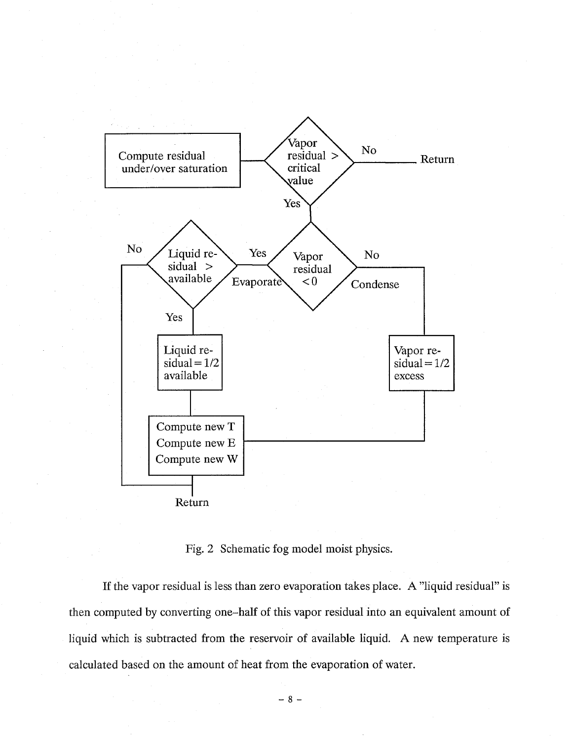

Fig. 2 Schematic fog model moist physics.

If the vapor residual is less than zero evaporation takes place. A "liquid residual" is then computed by converting one-half of this vapor residual into an equivalent amount of liquid which is subtracted from the reservoir of available liquid. A new temperature is calculated based on the amount of heat from the evaporation of water.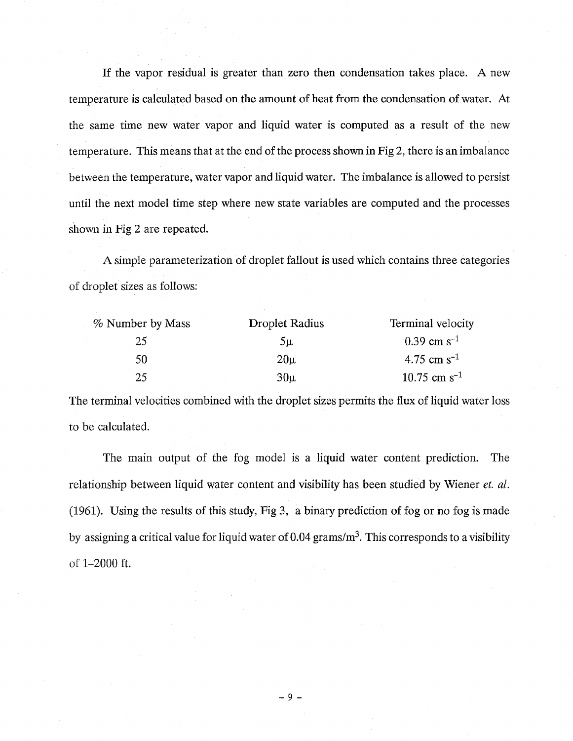If the vapor residual is greater than zero then condensation takes place. A new temperature is calculated based on the amount of heat from the condensation of water. At the same time new water vapor and liquid water is computed as a result of the new temperature. This means that at the end of the process shown in Fig 2, there is an imbalance between the temperature, water vapor and liquid water. The imbalance is allowed to persist until the next model time step where new state variables are computed and the processes shown in Fig 2 are repeated.

A simple parameterization of droplet fallout is used which contains three categories of droplet sizes as follows:

| % Number by Mass | Droplet Radius  | Terminal velocity          |
|------------------|-----------------|----------------------------|
| 25               | $5\mu$          | $0.39 \text{ cm s}^{-1}$   |
| 50               | $20\mu$         | $4.75$ cm s <sup>-1</sup>  |
| 25               | 30 <sub>µ</sub> | $10.75$ cm s <sup>-1</sup> |

The terminal velocities combined with the droplet sizes permits the flux of liquid water loss to be calculated.

The main output of the fog model is a liquid water content prediction. The relationship between liquid water content and visibility has been studied by Wiener *et. al.* (1961). Using the results of this study, Fig 3, a binary prediction of fog or no fog is made by assigning a critical value for liquid water of 0.04 grams/ $m<sup>3</sup>$ . This corresponds to a visibility of 1-2000 ft.

 $-9 -$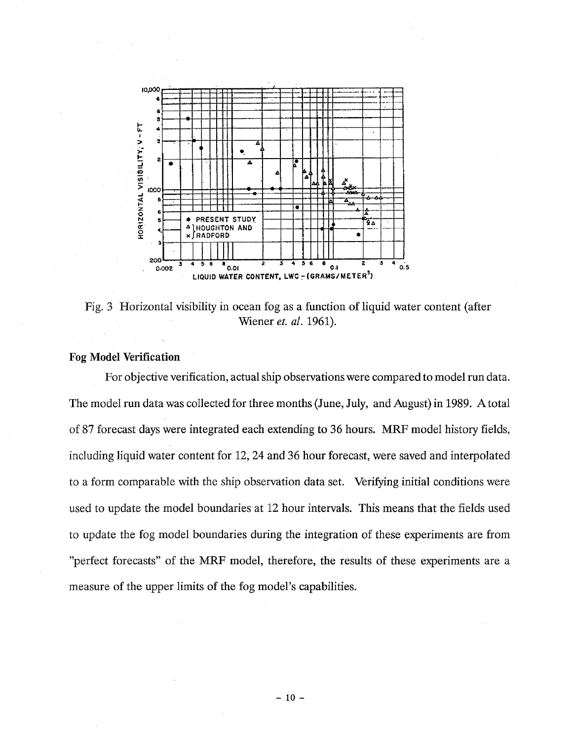

Fig. 3 Horizontal visibility in ocean fog as a function of liquid water content (after Wiener *et. al.* 1961).

# **Fog Model Verification**

For objective verification, actual ship observations were compared to model run data. The model run data was collected for three months (June, July, and August) in 1989. A total of 87 forecast days were integrated each extending to 36 hours. MRF model history fields, including liquid water content for 12, 24 and 36 hour forecast, were saved and interpolated to a form comparable with the ship observation data set. Verifying initial conditions were used to update the model boundaries at 12 hour intervals. This means that the fields used to update the fog model boundaries during the integration of these experiments are from "perfect forecasts" of the MRF model, therefore, the results of these experiments are a measure of the upper limits of the fog model's capabilities.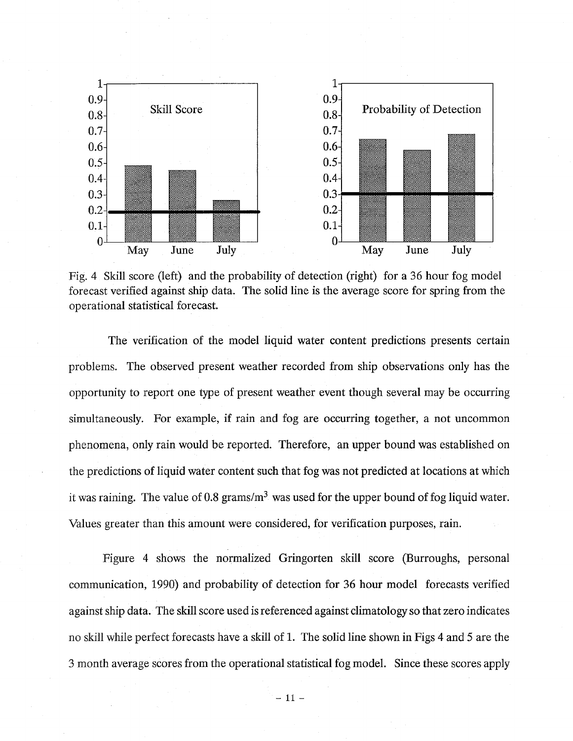

Fig. 4 Skill score (left) and the probability of detection (right) for a 36 hour fog model forecast verified against ship data. The solid line is the average score for spring from the operational statistical forecast.

The verification of the model liquid water content predictions presents certain problems. The observed present weather recorded from ship observations only has the opportunity to report one type of present weather event though several may be occurring simultaneously. For example, if rain and fog are occurring together, a not uncommon phenomena, only rain would be reported. Therefore, an upper bound was established on the predictions of liquid water content such that fog was not predicted at locations at which it was raining. The value of 0.8 grams/ $m<sup>3</sup>$  was used for the upper bound of fog liquid water. Values greater than this amount were considered, for verification purposes, rain.

Figure 4 shows the normalized Gringorten skill score (Burroughs, personal communication, 1990) and probability of detection for 36 hour model forecasts verified against ship data. The skill score used is referenced against climatology so that zero indicates no skill while perfect forecasts have a skill of 1. The solid line shown in Figs 4 and 5 are the 3 month average scores from the operational statistical fog model. Since these scores apply

 $-11 -$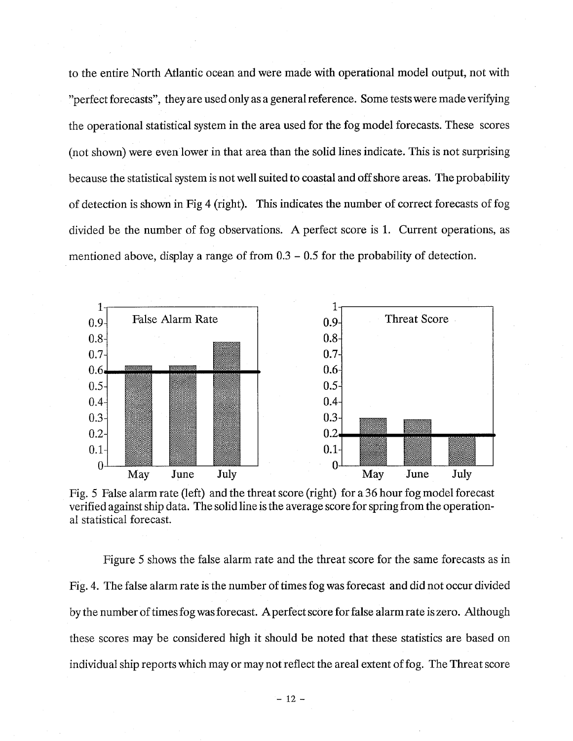to the entire North Atlantic ocean and were made with operational model output, not with "perfect forecasts", they are used only as a general reference. Some tests were made verifying the operational statistical system in the area used for the fog model forecasts. These scores (not shown) were even lower in that area than the solid lines indicate. This is not surprising because the statistical system is not well suited to coastal and off shore areas. The probability of detection is shown in Fig 4 (right). This indicates the number of correct forecasts of fog divided be the number of fog observations. A perfect score is 1. Current operations, as mentioned above, display a range of from 0.3 - 0.5 for the probability of detection.



Fig. 5 False alarm rate (left) and the threat score (right) for a 36 hour fog model forecast verified against ship data. The solid line is the average score for spring from the operational statistical forecast.

Figure 5 shows the false alarm rate and the threat score for the same forecasts as in Fig. 4. The false alarm rate is the number of times fog was forecast and did not occur divided by the number of times fog was forecast. Aperfect score for false alarm rate is zero. Although these scores may be considered high it should be noted that these statistics are based on individual ship reports which may or may not reflect the areal extent of fog. The Threat score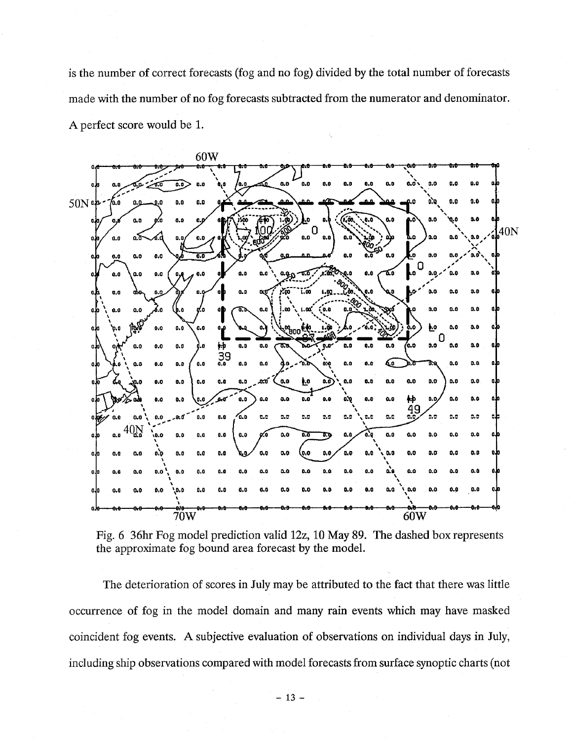is the number of correct forecasts (fog and no fog) divided by the total number of forecasts made with the number of no fog forecasts subtracted from the numerator and denominator. A perfect score would be 1.



Fig. 6 36hr Fog model prediction valid 12z, 10 May 89. The dashed box represents the approximate fog bound area forecast by the model.

The deterioration of scores in July may be attributed to the fact that there was little occurrence of fog in the model domain and many rain events which may have masked coincident fog events. A subjective evaluation of observations on individual days in July, including ship observations compared with model forecasts from surface synoptic charts (not many rai<br>of obse:<br>el foreca<br>-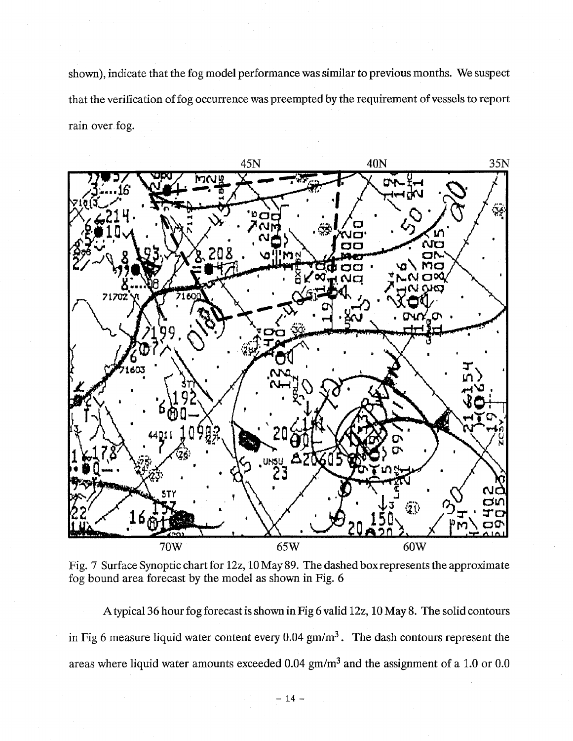shown), indicate that the fog model performance was similar to previous months. We suspect that the verification of fog occurrence was preempted by the requirement of vessels to report rain over fog.



Fig. 7 Surface Synoptic chart for 12z, 10 May 89. The dashed box represents the approximate fog bound area forecast by the model as shown in Fig. 6

Atypical 36 hour fog forecast is shown in Fig 6 valid 12z, 10 May 8. The solid contours in Fig 6 measure liquid water content every 0.04  $\text{gm/m}^3$ . The dash contours represent the areas where liquid water amounts exceeded 0.04 gm/m<sup>3</sup> and the assignment of a 1.0 or 0.0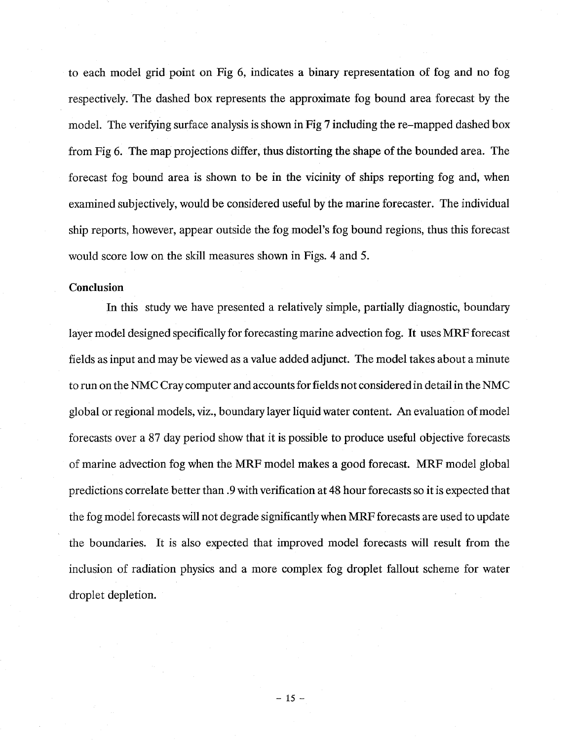to each model grid point on Fig 6, indicates a binary representation of fog and no fog respectively. The dashed box represents the approximate fog bound area forecast by the model. The verifying surface analysis is shown in Fig 7 including the re-mapped dashed box from Fig 6. The map projections differ, thus distorting the shape of the bounded area. The forecast fog bound area is shown to be in the vicinity of ships reporting fog and, when examined subjectively, would be considered useful by the marine forecaster. The individual ship reports, however, appear outside the fog model's fog bound regions, thus this forecast would score low on the skill measures shown in Figs. 4 and 5.

### **Conclusion**

In this study we have presented a relatively simple, partially diagnostic, boundary layer model designed specifically for forecasting marine advection fog. It uses MRF forecast fields as input and may be viewed as a value added adjunct. The model takes about a minute to run on the NMC Cray computer and accounts for fields not considered in detail in the NMC global or regional models, viz., boundary layer liquid water content. An evaluation of model forecasts over a 87 day period show that it is possible to produce useful objective forecasts of marine advection fog when the MRF model makes a good forecast. MRF model global predictions correlate better than .9 with verification at 48 hour forecasts so it is expected that the fog model forecasts will not degrade significantly when MRF forecasts are used to update the boundaries. It is also expected that improved model forecasts will result from the inclusion of radiation physics and a more complex fog droplet fallout scheme for water droplet depletion.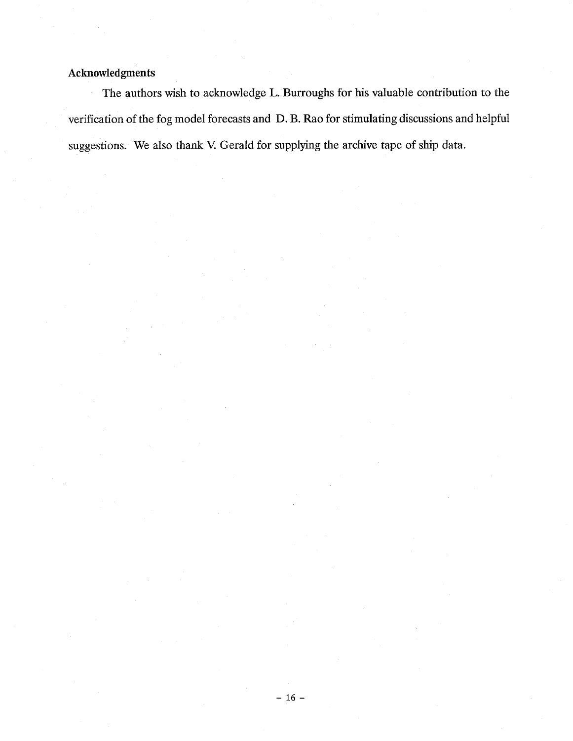# **Acknowledgments**

The authors wish to acknowledge L. Burroughs for his valuable contribution to the verification of the fog model forecasts and D. B. Rao for stimulating discussions and helpful suggestions. We also thank V. Gerald for supplying the archive tape of ship data.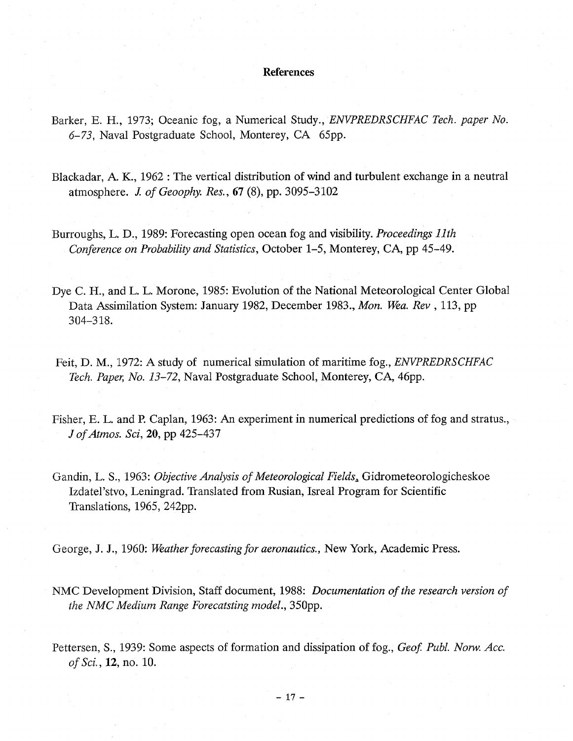#### **References**

- Barker, E. H., 1973; Oceanic fog, a Numerical Study., *ENVPREDRSCHFAC Tech. paper No. 6-73,* Naval Postgraduate School, Monterey, CA 65pp.
- Blackadar, A. K., 1962: The vertical distribution of wind and turbulent exchange in a neutral atmosphere. *J. of Geoophy. Res.*, 67 (8), pp. 3095–3102
- Burroughs, L. D., 1989: Forecasting open ocean fog and visibility. *Proceedings 11th Conference on Probability and Statistics,* October 1-5, Monterey, CA, pp 45-49.
- Dye C. H., and L. L. Morone, 1985: Evolution of the National Meteorological Center Global Data Assimilation System: January 1982, December 1983., *Mon. Wea. Rev,* 113, pp 304-318.
- Feit, D. M., 1972: A study of numerical simulation of maritime fog., *ENVPREDRSCHFAC Tech. Paper, No. 13-72,* Naval Postgraduate School, Monterey, CA, 46pp.
- Fisher, E. L. and P. Caplan, 1963: An experiment in numerical predictions of fog and stratus., *J ofAtmos. Sci,* 20, pp 425-437
- Gandin, L. S., 1963: *Objective Analysis of Meteorological Fields.* Gidrometeorologicheskoe Izdatel'stvo, Leningrad. Translated from Rusian, Isreal Program for Scientific Translations, 1965, 242pp.

George, J. J., 1960: *Weather forecasting for aeronautics.,* New York, Academic Press.

- NMC Development Division, Staff document, 1988: *Documentation of the research version of the NMC Medium Range Forecatsting model.,* 350pp.
- Pettersen, S., 1939: Some aspects of formation and dissipation of fog., *Geof. Publ. Norw. Acc. of Sci.,* **12,** no. 10.